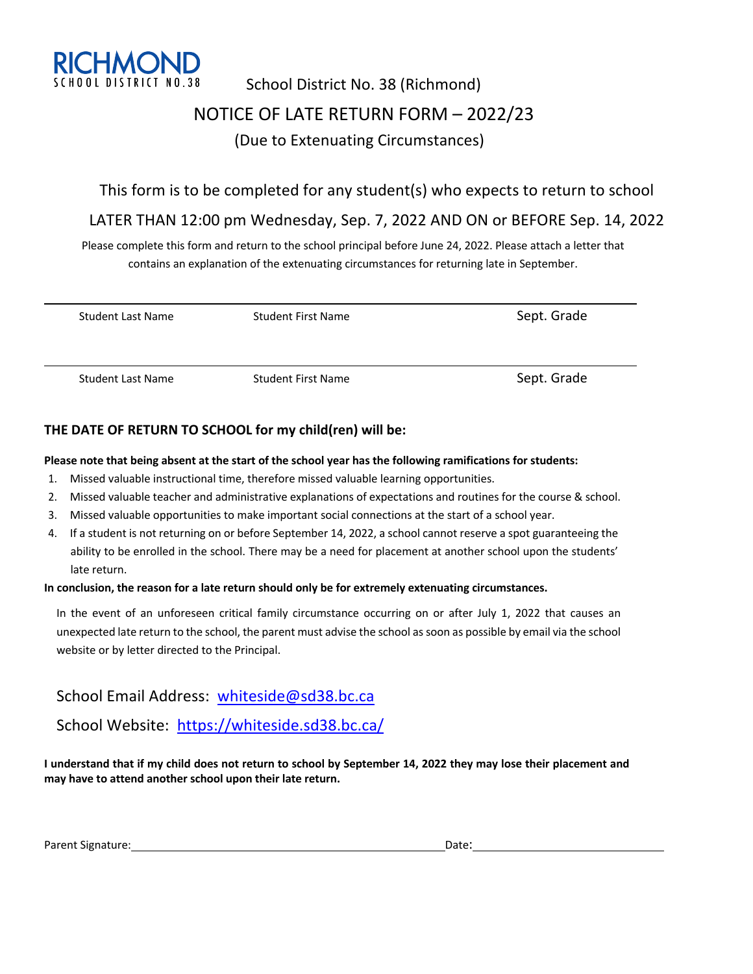

## School District No. 38 (Richmond) NOTICE OF LATE RETURN FORM – 2022/23 (Due to Extenuating Circumstances)

#### This form is to be completed for any student(s) who expects to return to school

### LATER THAN 12:00 pm Wednesday, Sep. 7, 2022 AND ON or BEFORE Sep. 14, 2022

Please complete this form and return to the school principal before June 24, 2022. Please attach a letter that contains an explanation of the extenuating circumstances for returning late in September.

| Student Last Name | <b>Student First Name</b> | Sept. Grade |
|-------------------|---------------------------|-------------|
| Student Last Name | <b>Student First Name</b> | Sept. Grade |

#### **THE DATE OF RETURN TO SCHOOL for my child(ren) will be:**

#### **Please note that being absent at the start of the school year has the following ramifications for students:**

- 1. Missed valuable instructional time, therefore missed valuable learning opportunities.
- 2. Missed valuable teacher and administrative explanations of expectations and routines for the course & school.
- 3. Missed valuable opportunities to make important social connections at the start of a school year.
- 4. If a student is not returning on or before September 14, 2022, a school cannot reserve a spot guaranteeing the ability to be enrolled in the school. There may be a need for placement at another school upon the students' late return.

#### **In conclusion, the reason for a late return should only be for extremely extenuating circumstances.**

In the event of an unforeseen critical family circumstance occurring on or after July 1, 2022 that causes an unexpected late return to the school, the parent must advise the school as soon as possible by email via the school website or by letter directed to the Principal.

School Email Address: whiteside@sd38.bc.ca

School Website: https://whiteside.sd38.bc.ca/

**I understand that if my child does not return to school by September 14, 2022 they may lose their placement and may have to attend another school upon their late return.**

Parent Signature: Date: Date: Date: Date: Date: Date: Date: Date: Date: Date: Date: Date: Date: Date: Date: Date: Date: Date: Date: Date: Date: Date: Date: Date: Date: Date: Date: Date: Date: Date: Date: Date: Date: Date: